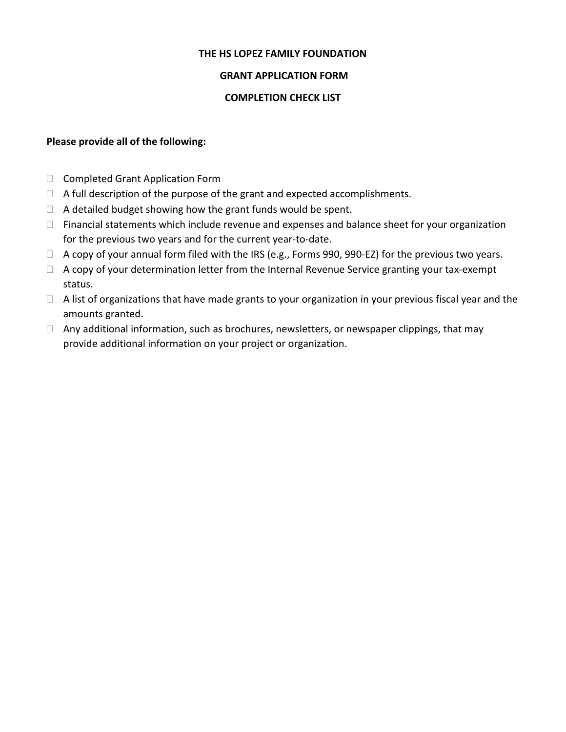## **THE HS LOPEZ FAMILY FOUNDATION**

## **GRANT APPLICATION FORM**

#### **COMPLETION CHECK LIST**

#### **Please provide all of the following:**

- □ Completed Grant Application Form
- $\Box$  A full description of the purpose of the grant and expected accomplishments.
- $\Box$  A detailed budget showing how the grant funds would be spent.
- □ Financial statements which include revenue and expenses and balance sheet for your organization for the previous two years and for the current year‐to‐date.
- □ A copy of your annual form filed with the IRS (e.g., Forms 990, 990-EZ) for the previous two years.
- □ A copy of your determination letter from the Internal Revenue Service granting your tax-exempt status.
- $\Box$  A list of organizations that have made grants to your organization in your previous fiscal year and the amounts granted.
- $\Box$  Any additional information, such as brochures, newsletters, or newspaper clippings, that may provide additional information on your project or organization.